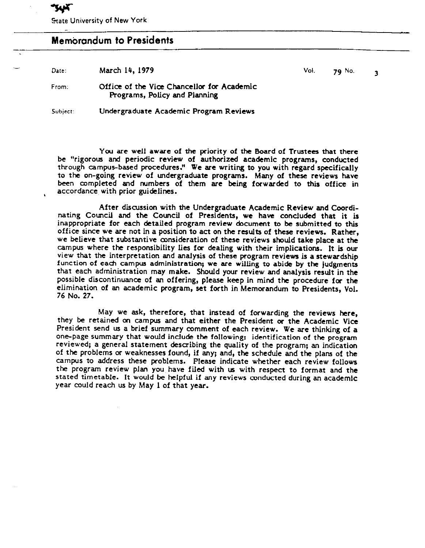## Membrandum to Presidents

| Date:    |                               | Vol.                                                                                                   |        |
|----------|-------------------------------|--------------------------------------------------------------------------------------------------------|--------|
| From:    | Programs, Policy and Planning |                                                                                                        |        |
| Subject: |                               |                                                                                                        |        |
|          |                               | March 14, 1979<br>Office of the Vice Chancellor for Academic<br>Undergraduate Academic Program Reviews | 79 No. |

You are well aware of the priority of the Board of Trustees that there be "rigorous and periodic review of authorized academic programs, conducted through ampus-based procedures." We are writing to you with regard specifically to the on-going review of undergraduate programs. Many of these reviews have been completed and numbers of them are being forwarded to this office in accordance with prior guidelines.

After discussion with the Undergraduate Academic Review and Coordinating Council and the Council of Presidents, we have conduded that it is inappropriate for each detailed program review document to be submitted to this office since we are not in a position to act on the results of these reviews. Rather, we believe that substantive consideration of these reviews should take place at the campus where the responsibility lies for dealing with their implications. It is our view that the interpretation and analysis of these program reviews is a stewardship function of each campus administration; we are willing to abide by the judgments that each administration may make. Should your review and analysis result in the possible discontinuance of an offering, please keep in mind the procedure for the elimination of an academic program, set forth in Memorandum to Presidents, Vol. 76 No. 27.

May we ask, therefore, that instead of forwarding the reviews here, they be retained on campus and that either the President or the Academic Vice President send us a brief summary comment of each review. We are thinking of a one-page summary that would include the following: identification of the program reviewed; a general statement describing the quality of the program; an indication of the problems or weaknesses found, if any; and, the schedule and the plans of the campus to address these problems. Please indicate whether each review follows the program review plan you have filed with us with respect to format and the stated timetable. It would be helpful if any reviews conducted during an academic year could reach us by May J of that year.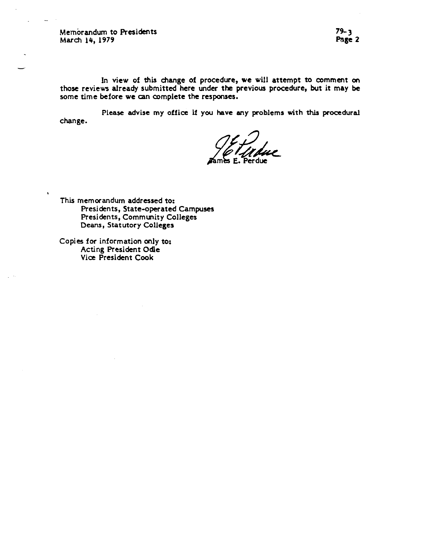Membrandum to Presidents March 14, 1979

In view of this change of procedure, we will attempt to comment on those reviews already submitted here under the previous procedure, but it may be some time before we can complete the responses.

Please advise my office if you have any problems with this procedural change.

This memorandum addressed to: Presidents, State-operated Campuses Presidents, Community Colleges Deans, Statutory Colleges

Copies for information only to: Acting President Odle Vice President Cook